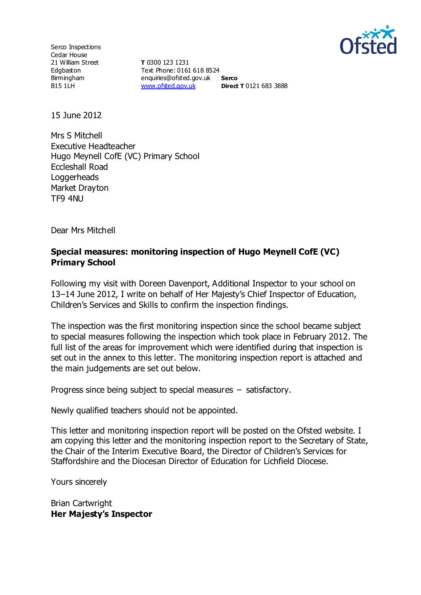

Serco Inspections Cedar House 21 William Street Edgbaston Birmingham B15 1LH

**T** 0300 123 1231 Text Phone: 0161 618 8524 enquiries@ofsted.gov.uk **Serco** [www.ofsted.gov.uk](http://www.ofsted.gov.uk/) **Direct T** 0121 683 3888

15 June 2012

Mrs S Mitchell Executive Headteacher Hugo Meynell CofE (VC) Primary School Eccleshall Road **Loggerheads** Market Drayton TF9 4NU

Dear Mrs Mitchell

#### **Special measures: monitoring inspection of Hugo Meynell CofE (VC) Primary School**

Following my visit with Doreen Davenport, Additional Inspector to your school on 13–14 June 2012, I write on behalf of Her Majesty's Chief Inspector of Education, Children's Services and Skills to confirm the inspection findings.

The inspection was the first monitoring inspection since the school became subject to special measures following the inspection which took place in February 2012. The full list of the areas for improvement which were identified during that inspection is set out in the annex to this letter. The monitoring inspection report is attached and the main judgements are set out below.

Progress since being subject to special measures – satisfactory.

Newly qualified teachers should not be appointed.

This letter and monitoring inspection report will be posted on the Ofsted website. I am copying this letter and the monitoring inspection report to the Secretary of State, the Chair of the Interim Executive Board, the Director of Children's Services for Staffordshire and the Diocesan Director of Education for Lichfield Diocese.

Yours sincerely

Brian Cartwright **Her Majesty's Inspector**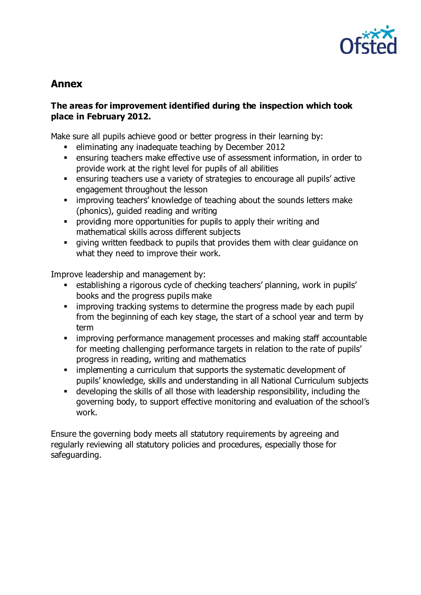

# **Annex**

## **The areas for improvement identified during the inspection which took place in February 2012.**

Make sure all pupils achieve good or better progress in their learning by:

- **EXEDENT** eliminating any inadequate teaching by December 2012
- ensuring teachers make effective use of assessment information, in order to provide work at the right level for pupils of all abilities
- ensuring teachers use a variety of strategies to encourage all pupils' active engagement throughout the lesson
- improving teachers' knowledge of teaching about the sounds letters make (phonics), guided reading and writing
- providing more opportunities for pupils to apply their writing and mathematical skills across different subjects
- giving written feedback to pupils that provides them with clear guidance on what they need to improve their work.

Improve leadership and management by:

- establishing a rigorous cycle of checking teachers' planning, work in pupils' books and the progress pupils make
- improving tracking systems to determine the progress made by each pupil from the beginning of each key stage, the start of a school year and term by term
- **EXTERGH** improving performance management processes and making staff accountable for meeting challenging performance targets in relation to the rate of pupils' progress in reading, writing and mathematics
- **EXECT** implementing a curriculum that supports the systematic development of pupils' knowledge, skills and understanding in all National Curriculum subjects
- developing the skills of all those with leadership responsibility, including the governing body, to support effective monitoring and evaluation of the school's work.

Ensure the governing body meets all statutory requirements by agreeing and regularly reviewing all statutory policies and procedures, especially those for safeguarding.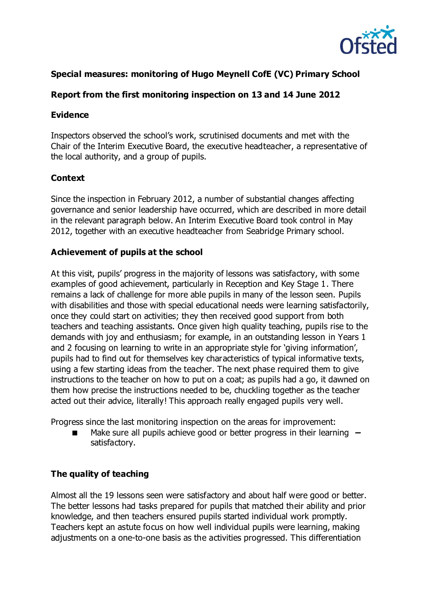

# **Special measures: monitoring of Hugo Meynell CofE (VC) Primary School**

# **Report from the first monitoring inspection on 13 and 14 June 2012**

#### **Evidence**

Inspectors observed the school's work, scrutinised documents and met with the Chair of the Interim Executive Board, the executive headteacher, a representative of the local authority, and a group of pupils.

#### **Context**

Since the inspection in February 2012, a number of substantial changes affecting governance and senior leadership have occurred, which are described in more detail in the relevant paragraph below. An Interim Executive Board took control in May 2012, together with an executive headteacher from Seabridge Primary school.

#### **Achievement of pupils at the school**

At this visit, pupils' progress in the majority of lessons was satisfactory, with some examples of good achievement, particularly in Reception and Key Stage 1. There remains a lack of challenge for more able pupils in many of the lesson seen. Pupils with disabilities and those with special educational needs were learning satisfactorily, once they could start on activities; they then received good support from both teachers and teaching assistants. Once given high quality teaching, pupils rise to the demands with joy and enthusiasm; for example, in an outstanding lesson in Years 1 and 2 focusing on learning to write in an appropriate style for 'giving information', pupils had to find out for themselves key characteristics of typical informative texts, using a few starting ideas from the teacher. The next phase required them to give instructions to the teacher on how to put on a coat; as pupils had a go, it dawned on them how precise the instructions needed to be, chuckling together as the teacher acted out their advice, literally! This approach really engaged pupils very well.

Progress since the last monitoring inspection on the areas for improvement:

 Make sure all pupils achieve good or better progress in their learning **–** satisfactory.

#### **The quality of teaching**

Almost all the 19 lessons seen were satisfactory and about half were good or better. The better lessons had tasks prepared for pupils that matched their ability and prior knowledge, and then teachers ensured pupils started individual work promptly. Teachers kept an astute focus on how well individual pupils were learning, making adjustments on a one-to-one basis as the activities progressed. This differentiation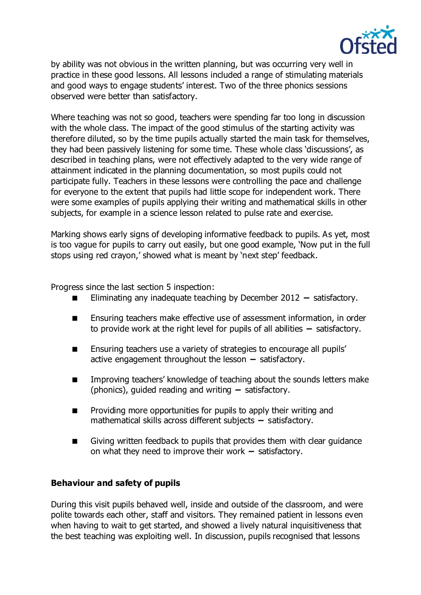

by ability was not obvious in the written planning, but was occurring very well in practice in these good lessons. All lessons included a range of stimulating materials and good ways to engage students' interest. Two of the three phonics sessions observed were better than satisfactory.

Where teaching was not so good, teachers were spending far too long in discussion with the whole class. The impact of the good stimulus of the starting activity was therefore diluted, so by the time pupils actually started the main task for themselves, they had been passively listening for some time. These whole class 'discussions', as described in teaching plans, were not effectively adapted to the very wide range of attainment indicated in the planning documentation, so most pupils could not participate fully. Teachers in these lessons were controlling the pace and challenge for everyone to the extent that pupils had little scope for independent work. There were some examples of pupils applying their writing and mathematical skills in other subjects, for example in a science lesson related to pulse rate and exercise.

Marking shows early signs of developing informative feedback to pupils. As yet, most is too vague for pupils to carry out easily, but one good example, 'Now put in the full stops using red crayon,' showed what is meant by 'next step' feedback.

Progress since the last section 5 inspection:

- Eliminating any inadequate teaching by December 2012 **–** satisfactory.
- Ensuring teachers make effective use of assessment information, in order to provide work at the right level for pupils of all abilities **–** satisfactory.
- **Ensuring teachers use a variety of strategies to encourage all pupils'** active engagement throughout the lesson **–** satisfactory.
- **IMPROVIGE 19 Improving teachers' knowledge of teaching about the sounds letters make** (phonics), guided reading and writing **–** satisfactory.
- **Providing more opportunities for pupils to apply their writing and** mathematical skills across different subjects **–** satisfactory.
- Giving written feedback to pupils that provides them with clear guidance on what they need to improve their work **–** satisfactory.

#### **Behaviour and safety of pupils**

During this visit pupils behaved well, inside and outside of the classroom, and were polite towards each other, staff and visitors. They remained patient in lessons even when having to wait to get started, and showed a lively natural inquisitiveness that the best teaching was exploiting well. In discussion, pupils recognised that lessons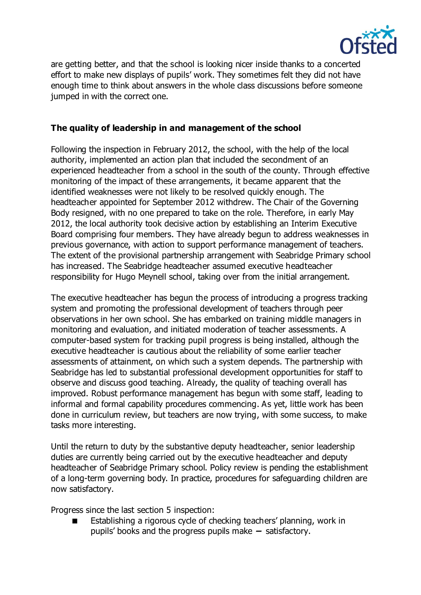

are getting better, and that the school is looking nicer inside thanks to a concerted effort to make new displays of pupils' work. They sometimes felt they did not have enough time to think about answers in the whole class discussions before someone jumped in with the correct one.

## **The quality of leadership in and management of the school**

Following the inspection in February 2012, the school, with the help of the local authority, implemented an action plan that included the secondment of an experienced headteacher from a school in the south of the county. Through effective monitoring of the impact of these arrangements, it became apparent that the identified weaknesses were not likely to be resolved quickly enough. The headteacher appointed for September 2012 withdrew. The Chair of the Governing Body resigned, with no one prepared to take on the role. Therefore, in early May 2012, the local authority took decisive action by establishing an Interim Executive Board comprising four members. They have already begun to address weaknesses in previous governance, with action to support performance management of teachers. The extent of the provisional partnership arrangement with Seabridge Primary school has increased. The Seabridge headteacher assumed executive headteacher responsibility for Hugo Meynell school, taking over from the initial arrangement.

The executive headteacher has begun the process of introducing a progress tracking system and promoting the professional development of teachers through peer observations in her own school. She has embarked on training middle managers in monitoring and evaluation, and initiated moderation of teacher assessments. A computer-based system for tracking pupil progress is being installed, although the executive headteacher is cautious about the reliability of some earlier teacher assessments of attainment, on which such a system depends. The partnership with Seabridge has led to substantial professional development opportunities for staff to observe and discuss good teaching. Already, the quality of teaching overall has improved. Robust performance management has begun with some staff, leading to informal and formal capability procedures commencing. As yet, little work has been done in curriculum review, but teachers are now trying, with some success, to make tasks more interesting.

Until the return to duty by the substantive deputy headteacher, senior leadership duties are currently being carried out by the executive headteacher and deputy headteacher of Seabridge Primary school. Policy review is pending the establishment of a long-term governing body. In practice, procedures for safeguarding children are now satisfactory.

Progress since the last section 5 inspection:

 Establishing a rigorous cycle of checking teachers' planning, work in pupils' books and the progress pupils make **–** satisfactory.